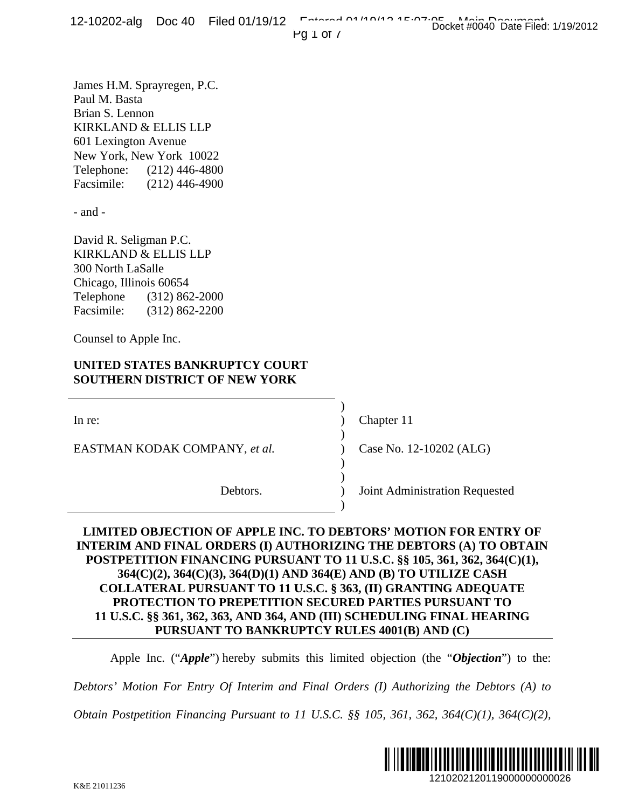**Pg 1 of 7** 

James H.M. Sprayregen, P.C. Paul M. Basta Brian S. Lennon KIRKLAND & ELLIS LLP 601 Lexington Avenue New York, New York 10022 Telephone: (212) 446-4800 Facsimile: (212) 446-4900

- and -

David R. Seligman P.C. KIRKLAND & ELLIS LLP 300 North LaSalle Chicago, Illinois 60654 Telephone (312) 862-2000 Facsimile: (312) 862-2200

Counsel to Apple Inc.

# **UNITED STATES BANKRUPTCY COURT SOUTHERN DISTRICT OF NEW YORK**

 $\overline{\phantom{a}}$ 

 $\overline{\phantom{a}}$ 

 $\overline{\phantom{a}}$ 

 $\overline{\phantom{a}}$ 

EASTMAN KODAK COMPANY, *et al.* )

In re: (a) Chapter 11

)

Case No. 12-10202 (ALG)

Debtors. ) Joint Administration Requested

# **LIMITED OBJECTION OF APPLE INC. TO DEBTORS' MOTION FOR ENTRY OF INTERIM AND FINAL ORDERS (I) AUTHORIZING THE DEBTORS (A) TO OBTAIN POSTPETITION FINANCING PURSUANT TO 11 U.S.C. §§ 105, 361, 362, 364(C)(1), 364(C)(2), 364(C)(3), 364(D)(1) AND 364(E) AND (B) TO UTILIZE CASH COLLATERAL PURSUANT TO 11 U.S.C. § 363, (II) GRANTING ADEQUATE PROTECTION TO PREPETITION SECURED PARTIES PURSUANT TO 11 U.S.C. §§ 361, 362, 363, AND 364, AND (III) SCHEDULING FINAL HEARING PURSUANT TO BANKRUPTCY RULES 4001(B) AND (C)**  1210202120119000000000026 Docket #0040 Date Filed: 1/19/2012

Apple Inc. ("*Apple*") hereby submits this limited objection (the "*Objection*") to the:

*Debtors' Motion For Entry Of Interim and Final Orders (I) Authorizing the Debtors (A) to* 

*Obtain Postpetition Financing Pursuant to 11 U.S.C. §§ 105, 361, 362, 364(C)(1), 364(C)(2),* 

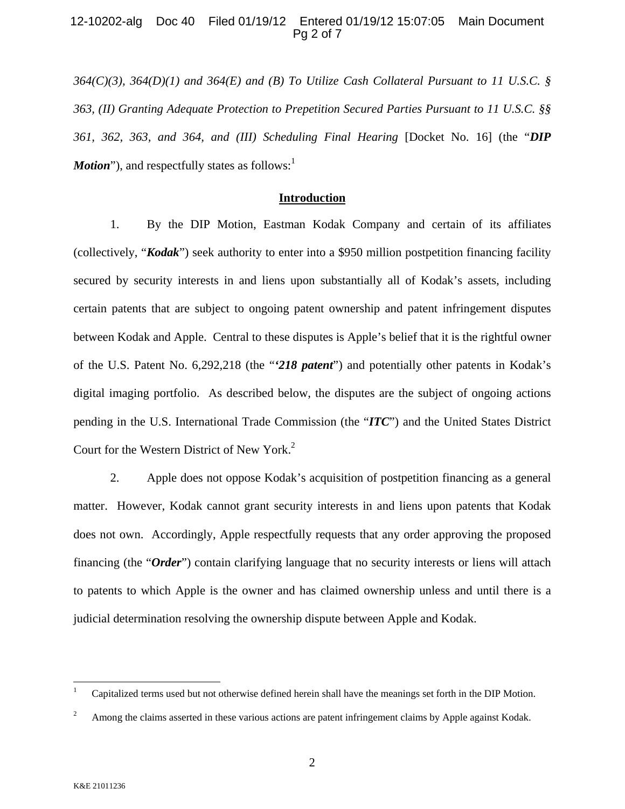#### 12-10202-alg Doc 40 Filed 01/19/12 Entered 01/19/12 15:07:05 Main Document Pg 2 of 7

*364(C)(3), 364(D)(1) and 364(E) and (B) To Utilize Cash Collateral Pursuant to 11 U.S.C. § 363, (II) Granting Adequate Protection to Prepetition Secured Parties Pursuant to 11 U.S.C. §§ 361, 362, 363, and 364, and (III) Scheduling Final Hearing* [Docket No. 16] (the "*DIP Motion*"), and respectfully states as follows:<sup>1</sup>

#### **Introduction**

1. By the DIP Motion, Eastman Kodak Company and certain of its affiliates (collectively, "*Kodak*") seek authority to enter into a \$950 million postpetition financing facility secured by security interests in and liens upon substantially all of Kodak's assets, including certain patents that are subject to ongoing patent ownership and patent infringement disputes between Kodak and Apple. Central to these disputes is Apple's belief that it is the rightful owner of the U.S. Patent No. 6,292,218 (the "*'218 patent*") and potentially other patents in Kodak's digital imaging portfolio. As described below, the disputes are the subject of ongoing actions pending in the U.S. International Trade Commission (the "*ITC*") and the United States District Court for the Western District of New York.<sup>2</sup>

2. Apple does not oppose Kodak's acquisition of postpetition financing as a general matter. However, Kodak cannot grant security interests in and liens upon patents that Kodak does not own. Accordingly, Apple respectfully requests that any order approving the proposed financing (the "*Order*") contain clarifying language that no security interests or liens will attach to patents to which Apple is the owner and has claimed ownership unless and until there is a judicial determination resolving the ownership dispute between Apple and Kodak.

 $\frac{1}{1}$ Capitalized terms used but not otherwise defined herein shall have the meanings set forth in the DIP Motion.

<sup>2</sup> Among the claims asserted in these various actions are patent infringement claims by Apple against Kodak.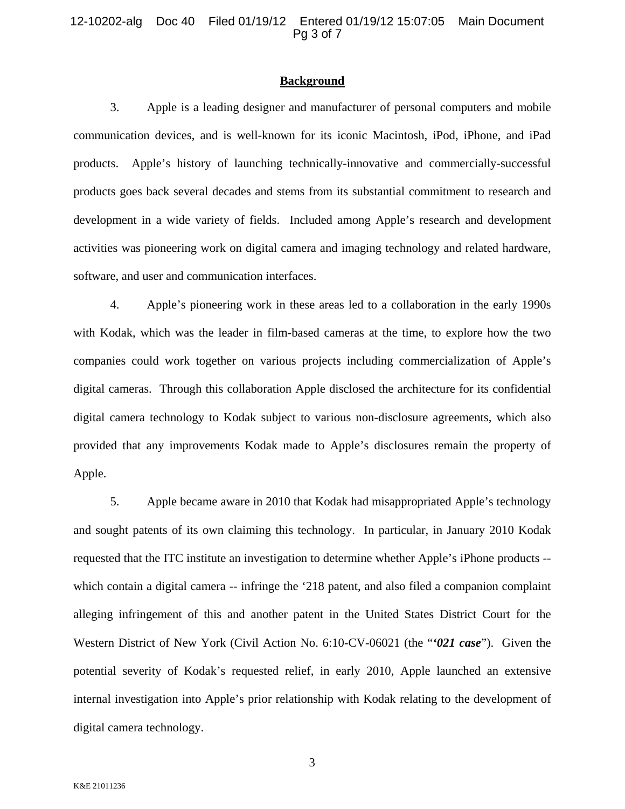#### **Background**

3. Apple is a leading designer and manufacturer of personal computers and mobile communication devices, and is well-known for its iconic Macintosh, iPod, iPhone, and iPad products. Apple's history of launching technically-innovative and commercially-successful products goes back several decades and stems from its substantial commitment to research and development in a wide variety of fields. Included among Apple's research and development activities was pioneering work on digital camera and imaging technology and related hardware, software, and user and communication interfaces.

4. Apple's pioneering work in these areas led to a collaboration in the early 1990s with Kodak, which was the leader in film-based cameras at the time, to explore how the two companies could work together on various projects including commercialization of Apple's digital cameras. Through this collaboration Apple disclosed the architecture for its confidential digital camera technology to Kodak subject to various non-disclosure agreements, which also provided that any improvements Kodak made to Apple's disclosures remain the property of Apple.

5. Apple became aware in 2010 that Kodak had misappropriated Apple's technology and sought patents of its own claiming this technology. In particular, in January 2010 Kodak requested that the ITC institute an investigation to determine whether Apple's iPhone products - which contain a digital camera -- infringe the '218 patent, and also filed a companion complaint alleging infringement of this and another patent in the United States District Court for the Western District of New York (Civil Action No. 6:10-CV-06021 (the "*'021 case*"). Given the potential severity of Kodak's requested relief, in early 2010, Apple launched an extensive internal investigation into Apple's prior relationship with Kodak relating to the development of digital camera technology.

3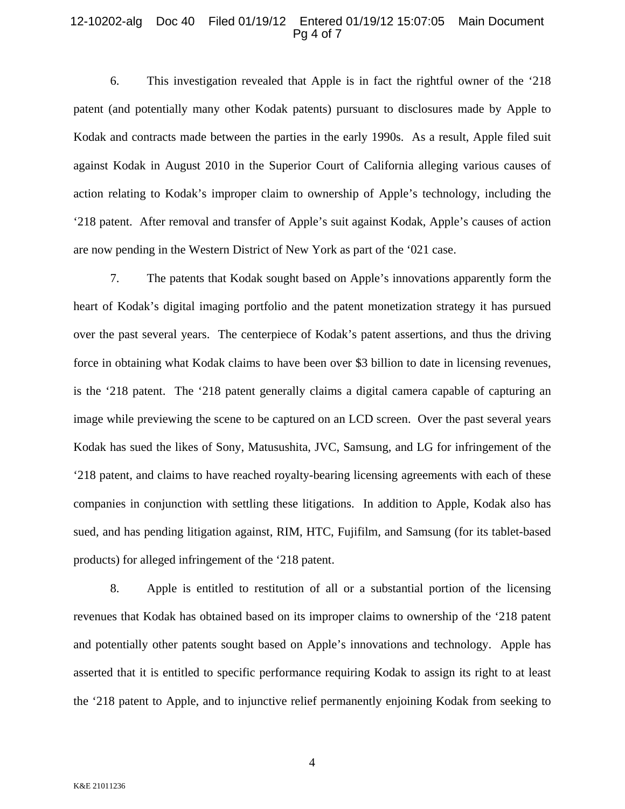#### 12-10202-alg Doc 40 Filed 01/19/12 Entered 01/19/12 15:07:05 Main Document Pg 4 of 7

6. This investigation revealed that Apple is in fact the rightful owner of the '218 patent (and potentially many other Kodak patents) pursuant to disclosures made by Apple to Kodak and contracts made between the parties in the early 1990s. As a result, Apple filed suit against Kodak in August 2010 in the Superior Court of California alleging various causes of action relating to Kodak's improper claim to ownership of Apple's technology, including the '218 patent. After removal and transfer of Apple's suit against Kodak, Apple's causes of action are now pending in the Western District of New York as part of the '021 case.

7. The patents that Kodak sought based on Apple's innovations apparently form the heart of Kodak's digital imaging portfolio and the patent monetization strategy it has pursued over the past several years. The centerpiece of Kodak's patent assertions, and thus the driving force in obtaining what Kodak claims to have been over \$3 billion to date in licensing revenues, is the '218 patent. The '218 patent generally claims a digital camera capable of capturing an image while previewing the scene to be captured on an LCD screen. Over the past several years Kodak has sued the likes of Sony, Matusushita, JVC, Samsung, and LG for infringement of the '218 patent, and claims to have reached royalty-bearing licensing agreements with each of these companies in conjunction with settling these litigations. In addition to Apple, Kodak also has sued, and has pending litigation against, RIM, HTC, Fujifilm, and Samsung (for its tablet-based products) for alleged infringement of the '218 patent.

8. Apple is entitled to restitution of all or a substantial portion of the licensing revenues that Kodak has obtained based on its improper claims to ownership of the '218 patent and potentially other patents sought based on Apple's innovations and technology. Apple has asserted that it is entitled to specific performance requiring Kodak to assign its right to at least the '218 patent to Apple, and to injunctive relief permanently enjoining Kodak from seeking to

4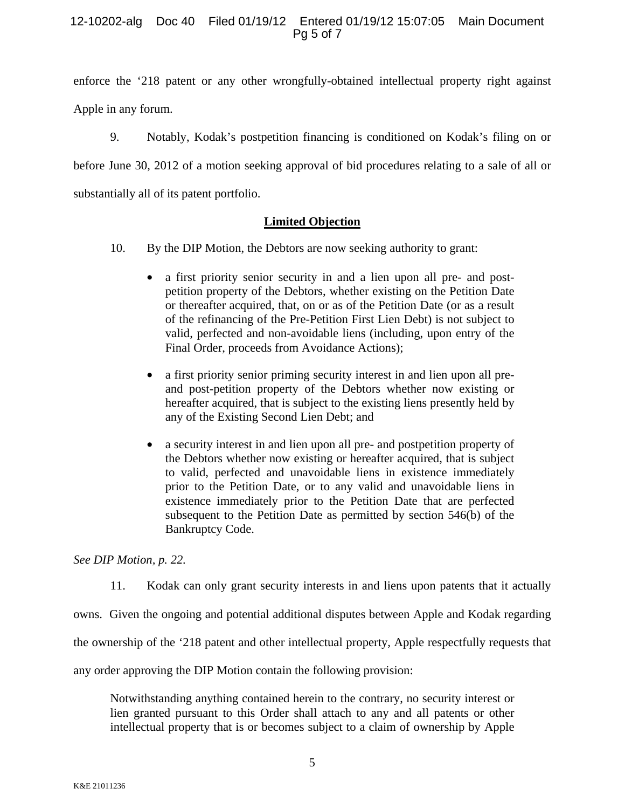## 12-10202-alg Doc 40 Filed 01/19/12 Entered 01/19/12 15:07:05 Main Document Pg 5 of 7

enforce the '218 patent or any other wrongfully-obtained intellectual property right against Apple in any forum.

9. Notably, Kodak's postpetition financing is conditioned on Kodak's filing on or before June 30, 2012 of a motion seeking approval of bid procedures relating to a sale of all or substantially all of its patent portfolio.

## **Limited Objection**

- 10. By the DIP Motion, the Debtors are now seeking authority to grant:
	- a first priority senior security in and a lien upon all pre- and postpetition property of the Debtors, whether existing on the Petition Date or thereafter acquired, that, on or as of the Petition Date (or as a result of the refinancing of the Pre-Petition First Lien Debt) is not subject to valid, perfected and non-avoidable liens (including, upon entry of the Final Order, proceeds from Avoidance Actions);
	- a first priority senior priming security interest in and lien upon all preand post-petition property of the Debtors whether now existing or hereafter acquired, that is subject to the existing liens presently held by any of the Existing Second Lien Debt; and
	- a security interest in and lien upon all pre- and postpetition property of the Debtors whether now existing or hereafter acquired, that is subject to valid, perfected and unavoidable liens in existence immediately prior to the Petition Date, or to any valid and unavoidable liens in existence immediately prior to the Petition Date that are perfected subsequent to the Petition Date as permitted by section 546(b) of the Bankruptcy Code.

*See DIP Motion, p. 22.* 

11. Kodak can only grant security interests in and liens upon patents that it actually

owns. Given the ongoing and potential additional disputes between Apple and Kodak regarding

the ownership of the '218 patent and other intellectual property, Apple respectfully requests that

any order approving the DIP Motion contain the following provision:

Notwithstanding anything contained herein to the contrary, no security interest or lien granted pursuant to this Order shall attach to any and all patents or other intellectual property that is or becomes subject to a claim of ownership by Apple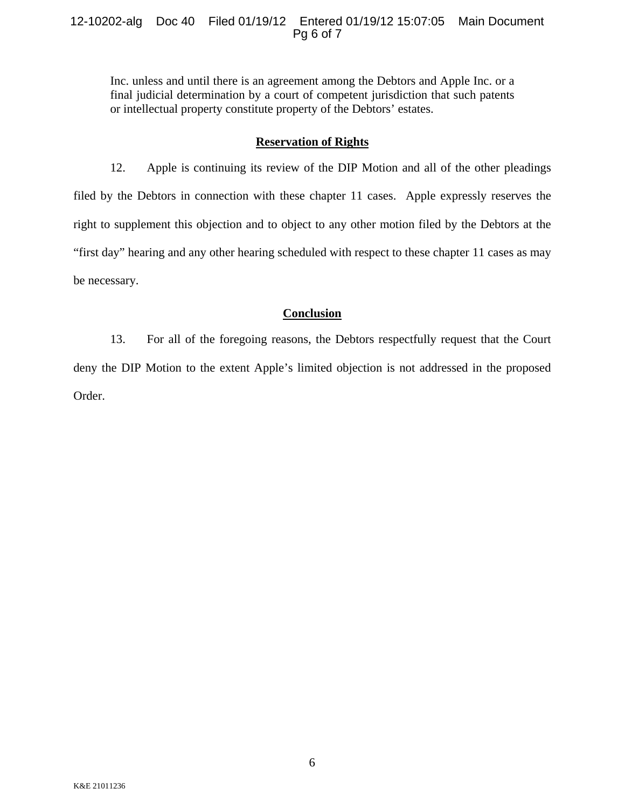#### 12-10202-alg Doc 40 Filed 01/19/12 Entered 01/19/12 15:07:05 Main Document Pg 6 of 7

Inc. unless and until there is an agreement among the Debtors and Apple Inc. or a final judicial determination by a court of competent jurisdiction that such patents or intellectual property constitute property of the Debtors' estates.

#### **Reservation of Rights**

12. Apple is continuing its review of the DIP Motion and all of the other pleadings filed by the Debtors in connection with these chapter 11 cases. Apple expressly reserves the right to supplement this objection and to object to any other motion filed by the Debtors at the "first day" hearing and any other hearing scheduled with respect to these chapter 11 cases as may be necessary.

## **Conclusion**

13. For all of the foregoing reasons, the Debtors respectfully request that the Court deny the DIP Motion to the extent Apple's limited objection is not addressed in the proposed Order.